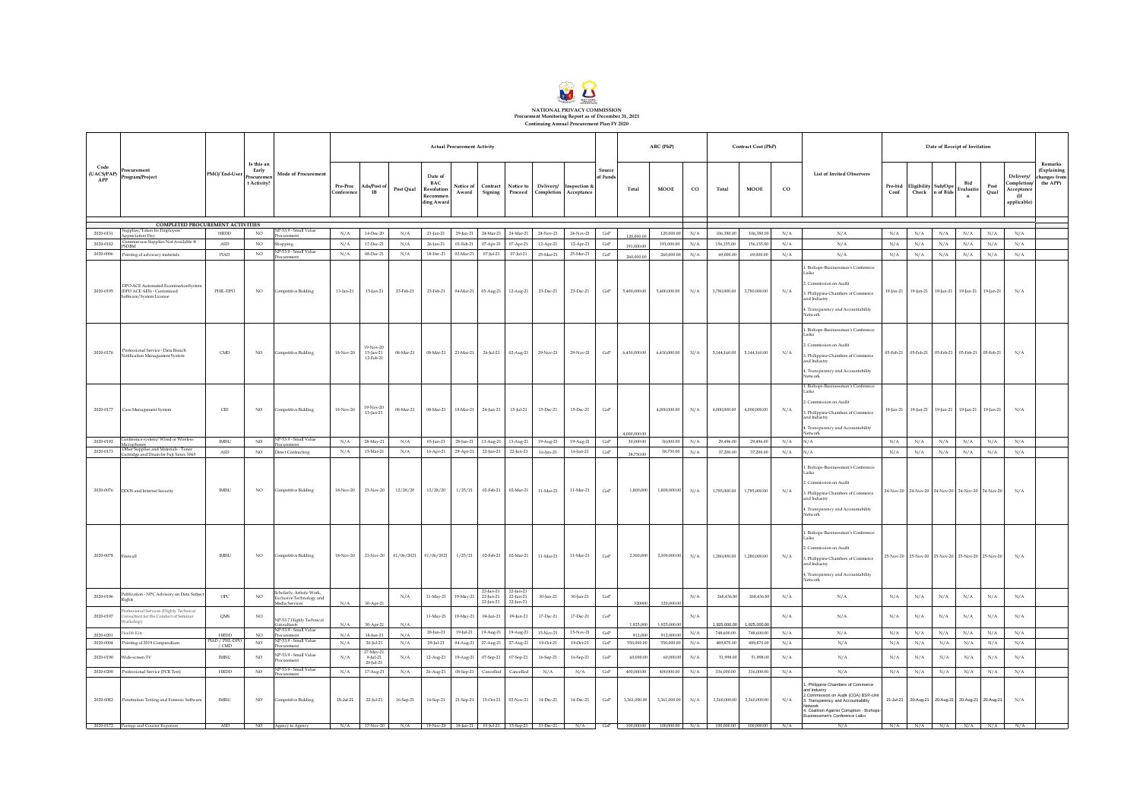

| Code      |                                                                                                                        |                           |                                                |                                                                                                                                                         |                        | <b>Actual Procurement Activity</b>    |            |                                                               |                           |                                     |                                     |                               |                        |                    |              | ABC (PhP)        |             |              | Contract Cost (PhP) |             |                                                                                                                                                                                                                       |                 | Date of Receipt of Invitation |                                        |                                         |                                                   |                                                            |                                                    |
|-----------|------------------------------------------------------------------------------------------------------------------------|---------------------------|------------------------------------------------|---------------------------------------------------------------------------------------------------------------------------------------------------------|------------------------|---------------------------------------|------------|---------------------------------------------------------------|---------------------------|-------------------------------------|-------------------------------------|-------------------------------|------------------------|--------------------|--------------|------------------|-------------|--------------|---------------------|-------------|-----------------------------------------------------------------------------------------------------------------------------------------------------------------------------------------------------------------------|-----------------|-------------------------------|----------------------------------------|-----------------------------------------|---------------------------------------------------|------------------------------------------------------------|----------------------------------------------------|
|           | $\text{(UACS/PAP)} \begin{bmatrix} \text{Proc} \text{u} & \text{u} & \text{u} \\ \text{Program/Project} \end{bmatrix}$ | PMO/End-User              | Is this an<br>Early<br>Procurem<br>t Activity? | Mode of Procurement                                                                                                                                     | Pre-Proc<br>Conference | Ads/Post of<br>$_{\rm IB}$            | Post Qual  | Date of<br><b>BAC</b><br>Resolution<br>Recommer<br>ding Award | <b>Notice</b> of<br>Award | Contract<br>Signing                 | Notice to                           | Proceed Completion Acceptance | Delivery/ Inspection & | Source<br>of Funds | Total        | MOOE             | $_{\rm CO}$ | Total        | <b>MOOE</b>         | $_{\rm co}$ | <b>List of Invited Observers</b>                                                                                                                                                                                      | Pre-bid<br>Conf |                               | Eligibility Sub/Ope<br>Check n of Bids | <b>Bid</b><br>Evaluatio<br>$\mathbf{n}$ | Post<br>Oual                                      | Delivery<br>Completion<br>Acceptance<br>(If<br>applicable) | Remarks<br>(Explaining<br>changes from<br>the APP) |
|           | COMPLETED PROCUREMENT ACTIVITIES                                                                                       |                           |                                                |                                                                                                                                                         |                        |                                       |            |                                                               |                           |                                     |                                     |                               |                        |                    |              |                  |             |              |                     |             |                                                                                                                                                                                                                       |                 |                               |                                        |                                         |                                                   |                                                            |                                                    |
| 2020-0131 | supplies/Token for Employees<br>oppreciation Day                                                                       | <b>HRDD</b>               | NO <sub>1</sub>                                | VP-53.9 - Small Value<br>rocurement                                                                                                                     | N/A                    | 14-Dec-20                             | N/A        | 21-Jan-21                                                     | 29-Jan-21                 | 24-Mar-21                           | 24-Mar-21                           | 24-Nov-21                     | 24-Nov-21              | GoP                | 120,000.00   | 120,000.00       | N/A         | 106,380.00   | 106,380.0           | N/A         | N/A                                                                                                                                                                                                                   | N/A             | N/A                           | N/A                                    | N/A                                     | N/A                                               | N/A                                                        |                                                    |
| 2020-0182 | Common-use Supplies Not Available @<br><b>SDRM</b>                                                                     | ASD                       | NO.                                            | Shopping<br>NP-53.9 - Small Value                                                                                                                       | N/A                    | 17-Dec-21                             | N/A        | 26-lan-21                                                     | 01-Feb-21                 | 07-Apr-21                           | 07-Apr-21                           | 12-Apr-21                     | 12-Apr-21              | GoP                | 191,000.00   | 191,000.00       | N/A         | 156,155.00   | 156,155.00          | N/A         | N/A                                                                                                                                                                                                                   | N/A             | N/A                           | N/A                                    | N/A                                     | N/A                                               | N/A                                                        |                                                    |
| 2020-0006 | <sup>2</sup> rinting of advocacy materials                                                                             | PIAD                      | NO.                                            | ocurement                                                                                                                                               | N/A                    | 08-Dec-21                             | N/A        | 18-Dec-21                                                     | 02-Mar-21                 | $07$ -Jul-21                        | 07-Jul-21                           | 25-Mar-21                     | 25-Mar-21              | $_{\rm GoP}$       | 260,000.00   | 260,000.00       | N/A         | 69,000.00    | 69,000.0            | N/A         | N/A                                                                                                                                                                                                                   | N/A             | N/A                           | N/A                                    | N/A                                     | N/A                                               | N/A                                                        |                                                    |
| 2020-0195 | DPO ACE Automated ExaminationSysten<br>(DPO ACE AES) - Customized<br>Software/System License                           | PHIL-DPO                  | $_{\rm NO}$                                    | Competitive Bidding                                                                                                                                     | $13$ Jan $\!21$        | $15$ -Jan-21                          | 23-Feb-21  | 23-Feb-21                                                     | 04-Mar-21                 | 05-Aug-21                           | 12-Aug-21                           | 23-Dec-21                     | 23-Dec-21              | $_{\rm GoP}$       | 5,400,000.00 | 5,400,000.00     | N/A         | 3,780,000.00 | 3,780,000.00        | N/A         | Bishops-Businessman's Conference<br>: Commission on Audit<br>3. Philippine Chambers of Commerce<br>d Industry<br>. Transparency and Accountability<br>etwork                                                          | 19-Jan-21       | 19-Jan-21                     | 19-Jan-21                              | 19-Jan-21                               | 19-Jan-21                                         | N/A                                                        |                                                    |
| 2020-0176 | Professional Service - Data Breach<br>Notification Managament System                                                   | CMD                       | NO <sub>1</sub>                                | Competitive Bidding                                                                                                                                     | 18-Nov-20              | 19.Nov.20<br>15-Jan-21<br>12-Feb-21   | 08-Mar-21  | 08-Mar-21                                                     | 23-Mar-21                 | 26-Jul-21                           | 02-Aug-21                           | 29-Nov-21                     | 29-Nov-21              | $\rm{GoP}$         | 6,430,000.00 | 6,430,000.00     | N/A         | 5,144,160.00 | 5,144,160.00        | N/A         | . Bishops-Businessman's Conference<br>aiko<br>Commission on Audit<br>3. Philippine Chambers of Commerce<br>nd Industry<br>. Transparency and Accountability<br>letwork                                                | 05-Feb-21       |                               | 05-Feb-21 05-Feb-21 05-Feb-21          |                                         | $05$ -Feb-21                                      | N/A                                                        |                                                    |
| 2020-0177 | Case Management System                                                                                                 | $\mbox{CID}$              | $_{\rm NO}$                                    | smpetitive Bidding                                                                                                                                      | 18-Nov-20              | 19.Nov.20<br>15-Jan-21                | 08-Mar-21  | 08-Mar-21                                                     | 18-Mar-21                 | 24-Jun-21                           | 15-Jul-21                           | $15$ -Dec $21\,$              | 15-Dec-21              | $\rm{GoP}$         | 10000000     | 4,000,000.00     | N/A         | 4,000,000.00 | 4,000,000.00        | N/A         | 1. Bishops-Businessman's Conference<br>Laiko<br>Commission on Audit<br>Philippine Chambers of Commerce<br>nd Industry<br>Transparency and Accountability<br>stwork <sup>2</sup>                                       | 19-Jan-21       | 19-Jan-21                     | $19$ Jan-21 $\,$                       | 19-Jan-21                               | 19-Jan-21                                         | N/A                                                        |                                                    |
| 2020-0192 | onference system/ Wired or Wireless<br>rophones                                                                        | <b>IMISU</b>              | NO <sub>1</sub>                                | NP-539 - Small Value<br>rocurement                                                                                                                      | N/A                    | 28-May-21                             | N/A        | $03$ -Jun-21                                                  | 28-Jun-21                 | 13-Aug-21                           | 13-Aug-21                           | 19-Aug-21                     | 19-Aug-21              | $\rm{GoP}$         | 30,000.00    | 30,000.00        | N/A         | 29,496.0     | 29,496.00           | N/A         | $\sqrt{A}$                                                                                                                                                                                                            | N/A             | N/A                           | N/A                                    | N/A                                     | N/A                                               | N/A                                                        |                                                    |
| 2020-0173 | Other Supplies and Materials - Toner<br>Cartridge and Drum for Fuji Xerox 3065                                         | $\mathbf{ASD}$            | $_{\rm NO}$                                    | Direct Contracting                                                                                                                                      | $\rm N/A$              | 15-Mar-21                             | $\rm N/A$  | 16-Apr-21                                                     | 29-Apr-21                 | 22-Jun-21                           | 22-Jun-21                           | 16-Jun-21                     | $16$ -Jun-21           | $\rm{GoP}$         | 38,750.00    | 38,750.00        | $\rm N/A$   | 37,200.00    | 37,200.00           | $\rm N/A$   | N/A                                                                                                                                                                                                                   | N/A             | $\rm N/A$                     | $\rm N/A$                              | $\rm N/A$                               | $\rm N/A$                                         | $\rm N/A$                                                  |                                                    |
| 2020-0076 | DDOS and Internet Security                                                                                             | <b>IMISU</b>              | NO.                                            | Competitive Bidding                                                                                                                                     | 18-Nov-20              | 23-Nov-20                             | 12/28/20   | 12/28/20                                                      | 1/25/21                   | 02-Feb-21                           | 02-Mar-21                           | 11-Mar-21                     | 11-Mar-21              | GoP                | 1,800,000    | 1,800,000.00     | N/A         | 1,785,000.00 | 1,785,000.00        | N/A         | . Bishops-Businessman's Conference<br>aiko<br>Commission on Audit<br>Philippine Chambers of Commerce<br>and Industry<br>. Transparency and Accountability<br>Network                                                  | 24-Nov-20       |                               | 24-Nov-20 24-Nov-20 24-Nov-20          |                                         | 24-Nov-20                                         | N/A                                                        |                                                    |
| 2020-0078 | Firewall                                                                                                               | <b>IMISU</b>              | NO.                                            | Competitive Bidding                                                                                                                                     | 18-Nov-20              | 23-Nov-20                             | 01/06/2021 | 01/06/2021                                                    | 1/25/21                   | 02-Feb-21                           | 02-Mar-21                           | 11-Mar-21                     | 11-Mar-21              | GoP                | 2,300,000    | 2,300,000.00 N/A |             | 1,280,000.00 | 1,280,000.00        | N/A         | . Bishops-Businessman's Conference<br>aiko<br>2. Commission on Audit<br>3. Philippine Chambers of Commerce<br>and Industry<br>. Transparency and Accountability<br>letwork                                            |                 |                               |                                        |                                         | 25-Nov-20 25-Nov-20 25-Nov-20 25-Nov-20 25-Nov-20 | N/A                                                        |                                                    |
| 2020-0196 | Publication - NPC Advisory on Data Subject<br>lights                                                                   | OPC                       | $_{\rm NO}$                                    | Scholarly, Artistic Work,<br>bclusive Technology and<br>iedia Services                                                                                  | N/A                    | 30-Apr-21                             | N/A        | 11-May-21                                                     | 19-May-21                 | 22-Jun-21<br>22-Jun-21<br>22-Jun-21 | 22-Jun-21<br>22-Jun-21<br>22-Jun-21 | 30-Jun-21                     | 30-Jun-21              | GoP                | 320000       | 320,000.00       | N/A         | 268,436.80   | 268,436.8           | N/A         | N/A                                                                                                                                                                                                                   | N/A             | $\rm N/A$                     | N/A                                    | $\rm N/A$                               | N/A                                               | N/A                                                        |                                                    |
| 2020-0197 | rofessional Services (Highly Technical<br>nsultant for the Conduct of Seminar<br>Vorkshop)                             | OMS                       | NO.                                            | NP-53.7 Highly Technical                                                                                                                                | N/A                    | 30-Apr-2                              | N/A        | 11-May-21                                                     | 19-May-21                 | 04-Jun-21                           | 09-Jun-21                           | 17-Dec-21                     | $17 - Dec - 21$        | GoP                | 1,925,000    | 1,925,000.0      | N/A         | 1,925,000.0  | 1,925,000.          | N/A         | N/A                                                                                                                                                                                                                   | N/A             | N/A                           | N/A                                    | $\rm N/A$                               | N/A                                               | N/A                                                        |                                                    |
| 2020-020  | lealth Kits                                                                                                            | HRDD                      | NO.                                            | VP-53.9 - Small Value<br>xurement                                                                                                                       | N/A                    | 18-Jun-21                             | N/A        | $28$ -Jun-21                                                  | 19-Jul-21                 | 19-Aug-21                           | 19-Aug-21                           | 15-Nov-21                     | 15-Nov-21              | $\rm{GoP}$         | 912,000      | 912,000.00       | $\rm N/A$   | 748,600.00   | 748,600.0           | N/A         | N/A                                                                                                                                                                                                                   | N/A             | N/A                           | N/A                                    | N/A                                     | N/A                                               | N/A                                                        |                                                    |
| 2020-0004 | Printing of 2019 Compendium                                                                                            | PIAD / PHL-DPC<br>$/$ CMD | NO <sub>1</sub>                                | P-53.9 - Small Value<br>rocurement                                                                                                                      | $\rm N/A$              | 20-Jul-21                             | $\rm N/A$  | 29-Jul-21                                                     | 04-Aug-21                 | 27-Aug-21                           | $27$ -Aug-21 $\,$                   | 19-Oct-21                     | 19-Oct-21              | $_{\rm GoP}$       | 550,000.00   | 550,000.00       | N/A         | 489,870.00   | 489,870.0           | N/A         | N/A                                                                                                                                                                                                                   | $\rm N/A$       | $\rm N/A$                     | $\rm N/A$                              | $\rm N/A$                               | $\rm N/A$                                         | N/A                                                        |                                                    |
| 2020-0190 | Wide-screen TV                                                                                                         | <b>IMISU</b>              | NO <sub>1</sub>                                | VP-53.9 - Small Value<br>rocurement                                                                                                                     | N/A                    | 27-May-21<br>$8$ -Jul-21<br>20-Jul-21 | N/A        | 12-Aug-21                                                     | 19-Aug-21                 | 07-Sep-21                           | 07-Sep-21                           | 16-Sep-21                     | 16-Sep-21              | GoP                | 60,000.00    | 60,000.00        | N/A         | 51,998.0     | 51,998.0            | N/A         | N/A                                                                                                                                                                                                                   | N/A             | N/A                           | N/A                                    | N/A                                     | N/A                                               | N/A                                                        |                                                    |
| 2020-0200 | Professional Service (PCR Test)                                                                                        | HRDD                      | NO.                                            | P-53.9 - Small Value                                                                                                                                    | N/A                    | 17-Aug-21                             | N/A        | 26-Aug-21                                                     | 08-Sep-21                 | Cancelled                           | Cancelled                           | N/A                           | N/A                    | GoP                | 400,000.00   | 400,000.00       | N/A         | 336,000.00   | 336,000.00          | N/A         | N/A                                                                                                                                                                                                                   | N/A             | N/A                           | N/A                                    | N/A                                     | N/A                                               | N/A                                                        |                                                    |
| 2020-0082 | Penetration Testing and Forensic Software                                                                              | <b>IMISU</b>              | NO.                                            | <b>Empetitive Bidding</b>                                                                                                                               | 15-Jul-21              | 22-Jul-21                             | 16-Sep-21  | 16-Sep-21                                                     | $21$ Sep $21$             | 15-Oct-21                           | 02-Nov-21                           | 14-Dec-21                     | 14-Dec-21              | $\mathsf{GoP}$     | 3,361,000.00 | 3,361,000.00     | N/A         | 3,360,000.00 | 3,360,000.0         | N/A         | Philippine Chambers of Commerce<br>and Industry<br>Commission on Audit (COA) BSP-Unit<br>. Transparency and Accountability<br>Vetwork<br>1. Coalition Against Corruption - Bishops-<br>Businessmen's Conference Laiko | 21-Jul-21       |                               |                                        |                                         | 20-Aug-21 20-Aug-21 20-Aug-21 20-Aug-21           | N/A                                                        |                                                    |
|           | 2020-0172 Postage and Courier Expenses                                                                                 | ASD                       |                                                | NO Agency to Agency N/A 17-Nov-20 N/A 19-Nov-20 18-Jan-21 01-Jul-21 15-Sep-21 31-Dec-21 N/A GoP 100,000.00 100,000.00 N/A 100,000.00 N/A 100,000.00 N/A |                        |                                       |            |                                                               |                           |                                     |                                     |                               |                        |                    |              |                  |             |              |                     |             | N/A                                                                                                                                                                                                                   |                 |                               |                                        |                                         |                                                   | $N/A$ $N/A$ $N/A$ $N/A$ $N/A$ $N/A$ $N/A$                  |                                                    |